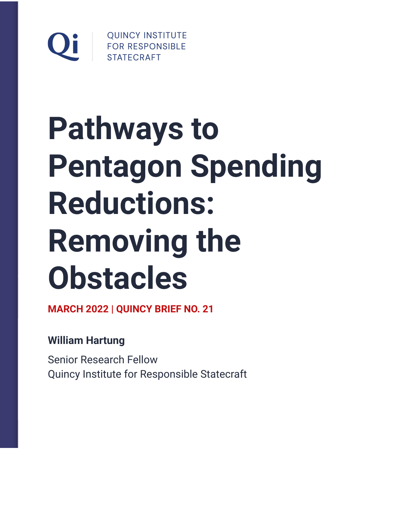

# **Pathways to Pentagon Spending Reductions: Removing the Obstacles**

**MARCH 2022 | QUINCY BRIEF NO. 21**

**William Hartung**

Senior Research Fellow Quincy Institute for Responsible Statecraft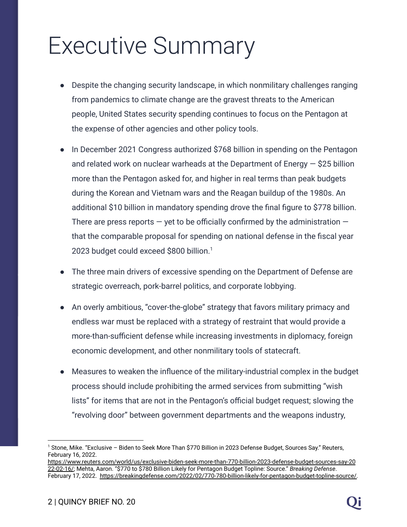## Executive Summary

- Despite the changing security landscape, in which nonmilitary challenges ranging from pandemics to climate change are the gravest threats to the American people, United States security spending continues to focus on the Pentagon at the expense of other agencies and other policy tools.
- In December 2021 Congress authorized \$768 billion in spending on the Pentagon and related work on nuclear warheads at the Department of Energy  $-$  \$25 billion more than the Pentagon asked for, and higher in real terms than peak budgets during the Korean and Vietnam wars and the Reagan buildup of the 1980s. An additional \$10 billion in mandatory spending drove the final figure to \$778 billion. There are press reports  $-$  yet to be officially confirmed by the administration  $$ that the comparable proposal for spending on national defense in the fiscal year 2023 budget could exceed \$800 billion.<sup>1</sup>
- The three main drivers of excessive spending on the Department of Defense are strategic overreach, pork-barrel politics, and corporate lobbying.
- An overly ambitious, "cover-the-globe" strategy that favors military primacy and endless war must be replaced with a strategy of restraint that would provide a more-than-sufficient defense while increasing investments in diplomacy, foreign economic development, and other nonmilitary tools of statecraft.
- Measures to weaken the influence of the military-industrial complex in the budget process should include prohibiting the armed services from submitting "wish lists" for items that are not in the Pentagon's official budget request; slowing the "revolving door" between government departments and the weapons industry,

<sup>1</sup> Stone, Mike. "Exclusive – Biden to Seek More Than \$770 Billion in 2023 Defense Budget, Sources Say." Reuters, February 16, 2022.

[https://www.reuters.com/world/us/exclusive-biden-seek-more-than-770-billion-2023-defense-budget-sources-say-20](https://www.reuters.com/world/us/exclusive-biden-seek-more-than-770-billion-2023-defense-budget-sources-say-2022-02-16/) [22-02-16/;](https://www.reuters.com/world/us/exclusive-biden-seek-more-than-770-billion-2023-defense-budget-sources-say-2022-02-16/) Mehta, Aaron. "\$770 to \$780 Billion Likely for Pentagon Budget Topline: Source." *Breaking Defense*. February 17, 2022. [https://breakingdefense.com/2022/02/770-780-billion-likely-for-pentagon-budget-topline-source/.](https://breakingdefense.com/2022/02/770-780-billion-likely-for-pentagon-budget-topline-source/)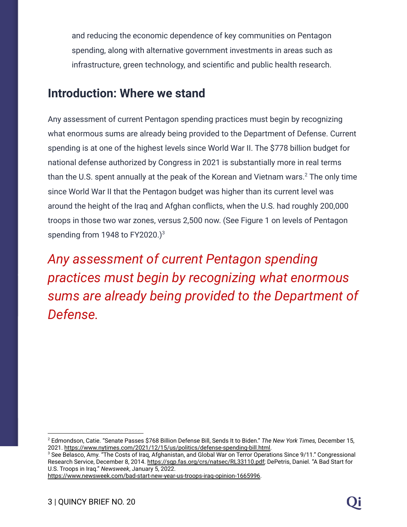and reducing the economic dependence of key communities on Pentagon spending, along with alternative government investments in areas such as infrastructure, green technology, and scientific and public health research.

#### **Introduction: Where we stand**

Any assessment of current Pentagon spending practices must begin by recognizing what enormous sums are already being provided to the Department of Defense. Current spending is at one of the highest levels since World War II. The \$778 billion budget for national defense authorized by Congress in 2021 is substantially more in real terms than the U.S. spent annually at the peak of the Korean and Vietnam wars. $2$  The only time since World War II that the Pentagon budget was higher than its current level was around the height of the Iraq and Afghan conflicts, when the U.S. had roughly 200,000 troops in those two war zones, versus 2,500 now. (See Figure 1 on levels of Pentagon spending from 1948 to FY2020.)<sup>3</sup>

*Any assessment of current Pentagon spending practices must begin by recognizing what enormous sums are already being provided to the Department of Defense.*

<sup>3</sup> See Belasco, Amy. "The Costs of Iraq, Afghanistan, and Global War on Terror Operations Since 9/11." Congressional Research Service, December 8, 2014. https://sqp.fas.org/crs/natsec/RL33110.pdf; DePetris, Daniel. "A Bad Start for U.S. Troops in Iraq." *Newsweek*, January 5, 2022.

[https://www.newsweek.com/bad-start-new-year-us-troops-iraq-opinion-1665996.](https://www.newsweek.com/bad-start-new-year-us-troops-iraq-opinion-1665996)

<sup>2</sup> Edmondson, Catie. "Senate Passes \$768 Billion Defense Bill, Sends It to Biden." *The New York Times,* December 15, 2021. [https://www.nytimes.com/2021/12/15/us/politics/defense-spending-bill.html.](https://www.nytimes.com/2021/12/15/us/politics/defense-spending-bill.html)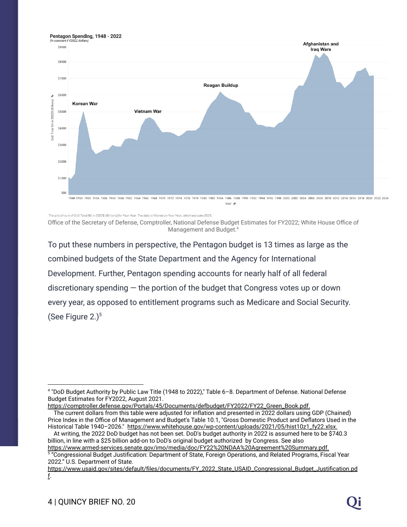

The plot of sum of DoD Total BA in 2022\$ (Billions) for Year Year. The data is filtered on Year Year, which excludes 2023.

Office of the Secretary of Defense, Comptroller, National Defense Budget Estimates for FY2022; White House Office of Management and Budget.<sup>4</sup>

To put these numbers in perspective, the Pentagon budget is 13 times as large as the combined budgets of the State Department and the Agency for International Development. Further, Pentagon spending accounts for nearly half of all federal discretionary spending  $-$  the portion of the budget that Congress votes up or down every year, as opposed to entitlement programs such as Medicare and Social Security. (See Figure  $2.$ )<sup>5</sup>

[https://comptroller.defense.gov/Portals/45/Documents/defbudget/FY2022/FY22\\_Green\\_Book.pdf](https://comptroller.defense.gov/Portals/45/Documents/defbudget/FY2022/FY22_Green_Book.pdf).

<sup>4</sup> "DoD Budget Authority by Public Law Title (1948 to 2022)," Table 6–8. Department of Defense. National Defense Budget Estimates for FY2022, August 2021.

The current dollars from this table were adjusted for inflation and presented in 2022 dollars using GDP (Chained) Price Index in the Office of Management and Budget's Table 10.1, "Gross Domestic Product and Deflators Used in the Historical Table 1940-2026." [https://www.whitehouse.gov/wp-content/uploads/2021/05/hist10z1\\_fy22.xlsx](https://www.whitehouse.gov/wp-content/uploads/2021/05/hist10z1_fy22.xlsx).

At writing, the 2022 DoD budget has not been set. DoD's budget authority in 2022 is assumed here to be \$740.3 billion, in line with a \$25 billion add-on to DoD's original budget authorized by Congress. See also [https://www.armed-services.senate.gov/imo/media/doc/FY22%20NDAA%20Agreement%20Summary.pdf.](https://www.armed-services.senate.gov/imo/media/doc/FY22%20NDAA%20Agreement%20Summary.pdf)

<sup>5</sup> "Congressional Budget Justification: Department of State, Foreign Operations, and Related Programs, Fiscal Year 2022." U.S. Department of State.

[https://www.usaid.gov/sites/default/files/documents/FY\\_2022\\_State\\_USAID\\_Congressional\\_Budget\\_Justification.pd](https://www.usaid.gov/sites/default/files/documents/FY_2022_State_USAID_Congressional_Budget_Justification.pdf) [f](https://www.usaid.gov/sites/default/files/documents/FY_2022_State_USAID_Congressional_Budget_Justification.pdf).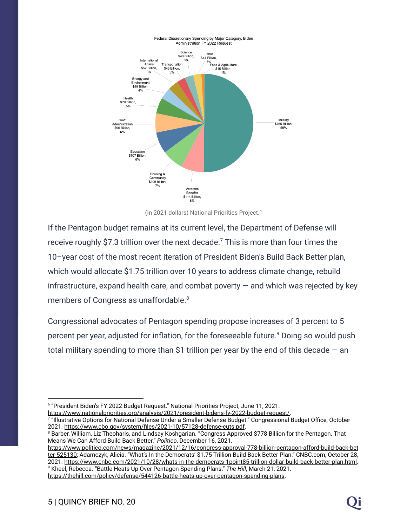

(In 2021 dollars) National Priorities Project.<sup>6</sup>

If the Pentagon budget remains at its current level, the Department of Defense will receive roughly \$7.3 trillion over the next decade.<sup>7</sup> This is more than four times the 10–year cost of the most recent iteration of President Biden's Build Back Better plan, which would allocate \$1.75 trillion over 10 years to address climate change, rebuild infrastructure, expand health care, and combat poverty  $-$  and which was rejected by key members of Congress as unaffordable.<sup>8</sup>

Congressional advocates of Pentagon spending propose increases of 3 percent to 5 percent per year, adjusted for inflation, for the foreseeable future.<sup>9</sup> Doing so would push total military spending to more than \$1 trillion per year by the end of this decade  $-$  an

[https://www.nationalpriorities.org/analysis/2021/president-bidens-fy-2022-budget-request/.](https://www.nationalpriorities.org/analysis/2021/president-bidens-fy-2022-budget-request/)

<https://thehill.com/policy/defense/544126-battle-heats-up-over-pentagon-spending-plans>.

<sup>&</sup>lt;sup>6</sup> "President Biden's FY 2022 Budget Request." National Priorities Project, June 11, 2021.

<sup>7</sup> "Illustrative Options for National Defense Under a Smaller Defense Budget." Congressional Budget Office, October 2021. <https://www.cbo.gov/system/files/2021-10/57128-defense-cuts.pdf>.

<sup>&</sup>lt;sup>8</sup> Barber, William, Liz Theoharis, and Lindsay Koshgarian. "Congress Approved \$778 Billion for the Pentagon. That Means We Can Afford Build Back Better." *Politico*, December 16, 2021.

<sup>9</sup> Kheel, Rebecca. "Battle Heats Up Over Pentagon Spending Plans." *The Hill*, March 21, 2021. [https://www.politico.com/news/magazine/2021/12/16/congress-approval-778-billion-pentagon-afford-build-back-bet](https://www.politico.com/news/magazine/2021/12/16/congress-approval-778-billion-pentagon-afford-build-back-better-525130) [ter-525130;](https://www.politico.com/news/magazine/2021/12/16/congress-approval-778-billion-pentagon-afford-build-back-better-525130) Adamczyk, Alicia. "What's In the Democrats' \$1.75 Trillion Build Back Better Plan." CNBC.com, October 28, 2021. <https://www.cnbc.com/2021/10/28/whats-in-the-democrats-1point85-trillion-dollar-build-back-better-plan.html>.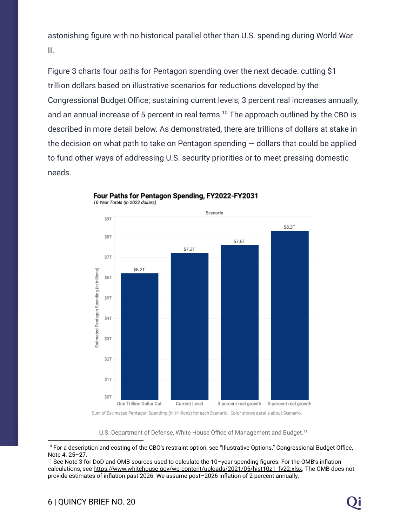astonishing figure with no historical parallel other than U.S. spending during World War II.

Figure 3 charts four paths for Pentagon spending over the next decade: cutting \$1 trillion dollars based on illustrative scenarios for reductions developed by the Congressional Budget Office; sustaining current levels; 3 percent real increases annually, and an annual increase of 5 percent in real terms.<sup>10</sup> The approach outlined by the CBO is described in more detail below. As demonstrated, there are trillions of dollars at stake in the decision on what path to take on Pentagon spending  $-$  dollars that could be applied to fund other ways of addressing U.S. security priorities or to meet pressing domestic needs.



#### Four Paths for Pentagon Spending, FY2022-FY2031

10 Year Totals (in 2022 dollars)

U.S. Department of Defense, White House Office of Management and Budget.<sup>11</sup>

<sup>&</sup>lt;sup>10</sup> For a description and costing of the CBO's restraint option, see "Illustrative Options." Congressional Budget Office, Note 4. 25–27.

<sup>11</sup> See Note 3 for DoD and OMB sources used to calculate the 10–year spending figures. For the OMB's inflation calculations, see [https://www.whitehouse.gov/wp-content/uploads/2021/05/hist10z1\\_fy22.xlsx.](https://www.whitehouse.gov/wp-content/uploads/2021/05/hist10z1_fy22.xlsx) The OMB does not provide estimates of inflation past 2026. We assume post–2026 inflation of 2 percent annually.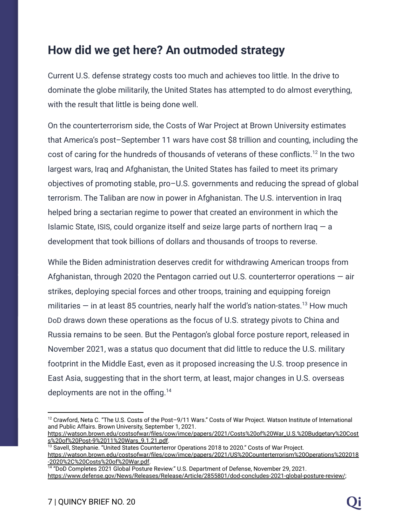#### **How did we get here? An outmoded strategy**

Current U.S. defense strategy costs too much and achieves too little. In the drive to dominate the globe militarily, the United States has attempted to do almost everything, with the result that little is being done well.

On the counterterrorism side, the Costs of War Project at Brown University estimates that America's post–September 11 wars have cost \$8 trillion and counting, including the cost of caring for the hundreds of thousands of veterans of these conflicts.<sup>12</sup> In the two largest wars, Iraq and Afghanistan, the United States has failed to meet its primary objectives of promoting stable, pro–U.S. governments and reducing the spread of global terrorism. The Taliban are now in power in Afghanistan. The U.S. intervention in Iraq helped bring a sectarian regime to power that created an environment in which the Islamic State, ISIS, could organize itself and seize large parts of northern Iraq  $-$  a development that took billions of dollars and thousands of troops to reverse.

While the Biden administration deserves credit for withdrawing American troops from Afghanistan, through 2020 the Pentagon carried out U.S. counterterror operations  $-$  air strikes, deploying special forces and other troops, training and equipping foreign militaries  $-$  in at least 85 countries, nearly half the world's nation-states.<sup>13</sup> How much DoD draws down these operations as the focus of U.S. strategy pivots to China and Russia remains to be seen. But the Pentagon's global force posture report, released in November 2021, was a status quo document that did little to reduce the U.S. military footprint in the Middle East, even as it proposed increasing the U.S. troop presence in East Asia, suggesting that in the short term, at least, major changes in U.S. overseas deployments are not in the offing.<sup>14</sup>

 $12$  Crawford, Neta C. "The U.S. Costs of the Post–9/11 Wars." Costs of War Project. Watson Institute of International and Public Affairs. Brown University, September 1, 2021.

[https://watson.brown.edu/costsofwar/files/cow/imce/papers/2021/Costs%20of%20War\\_U.S.%20Budgetary%20Cost](https://watson.brown.edu/costsofwar/files/cow/imce/papers/2021/Costs%20of%20War_U.S.%20Budgetary%20Costs%20of%20Post-9%2011%20Wars_9.1.21.pdf) [s%20of%20Post-9%2011%20Wars\\_9.1.21.pdf.](https://watson.brown.edu/costsofwar/files/cow/imce/papers/2021/Costs%20of%20War_U.S.%20Budgetary%20Costs%20of%20Post-9%2011%20Wars_9.1.21.pdf)

<sup>&</sup>lt;sup>13</sup> Savell, Stephanie. "United States Counterterror Operations 2018 to 2020." Costs of War Project. [https://watson.brown.edu/costsofwar/files/cow/imce/papers/2021/US%20Counterterrorism%20Operations%202018](https://watson.brown.edu/costsofwar/files/cow/imce/papers/2021/US%20Counterterrorism%20Operations%202018-2020%2C%20Costs%20of%20War.pdf) [-2020%2C%20Costs%20of%20War.pdf.](https://watson.brown.edu/costsofwar/files/cow/imce/papers/2021/US%20Counterterrorism%20Operations%202018-2020%2C%20Costs%20of%20War.pdf)

<sup>14</sup> "DoD Completes 2021 Global Posture Review." U.S. Department of Defense, November 29, 2021. <https://www.defense.gov/News/Releases/Release/Article/2855801/dod-concludes-2021-global-posture-review/>;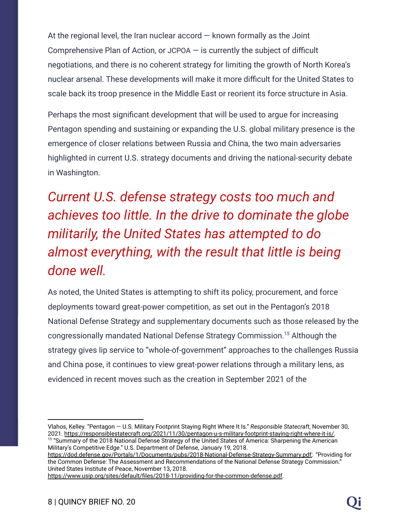At the regional level, the Iran nuclear accord  $-$  known formally as the Joint Comprehensive Plan of Action, or JCPOA — is currently the subject of difficult negotiations, and there is no coherent strategy for limiting the growth of North Korea's nuclear arsenal. These developments will make it more difficult for the United States to scale back its troop presence in the Middle East or reorient its force structure in Asia.

Perhaps the most significant development that will be used to argue for increasing Pentagon spending and sustaining or expanding the U.S. global military presence is the emergence of closer relations between Russia and China, the two main adversaries highlighted in current U.S. strategy documents and driving the national-security debate in Washington.

*Current U.S. defense strategy costs too much and achieves too little. In the drive to dominate the globe militarily, the United States has attempted to do almost everything, with the result that little is being done well.*

As noted, the United States is attempting to shift its policy, procurement, and force deployments toward great-power competition, as set out in the Pentagon's 2018 National Defense Strategy and supplementary documents such as those released by the congressionally mandated National Defense Strategy Commission.<sup>15</sup> Although the strategy gives lip service to "whole-of-government" approaches to the challenges Russia and China pose, it continues to view great-power relations through a military lens, as evidenced in recent moves such as the creation in September 2021 of the

[https://dod.defense.gov/Portals/1/Documents/pubs/2018-National-Defense-Strategy-Summary.pdf;](https://dod.defense.gov/Portals/1/Documents/pubs/2018-National-Defense-Strategy-Summary.pdf) "Providing for the Common Defense: The Assessment and Recommendations of the National Defense Strategy Commission." United States Institute of Peace, November 13, 2018.

[https://www.usip.org/sites/default/files/2018-11/providing-for-the-common-defense.pdf.](https://www.usip.org/sites/default/files/2018-11/providing-for-the-common-defense.pdf)

<sup>&</sup>lt;sup>15</sup> "Summary of the 2018 National Defense Strategy of the United States of America: Sharpening the American Military's Competitive Edge." U.S. Department of Defense, January 19, 2018. Vlahos, Kelley. "Pentagon — U.S. Military Footprint Staying Right Where It Is." *Responsible Statecraft*, November 30, 2021. [https://responsiblestatecraft.org/2021/11/30/pentagon-u-s-military-footprint-staying-right-where-it-is/.](https://responsiblestatecraft.org/2021/11/30/pentagon-u-s-military-footprint-staying-right-where-it-is/)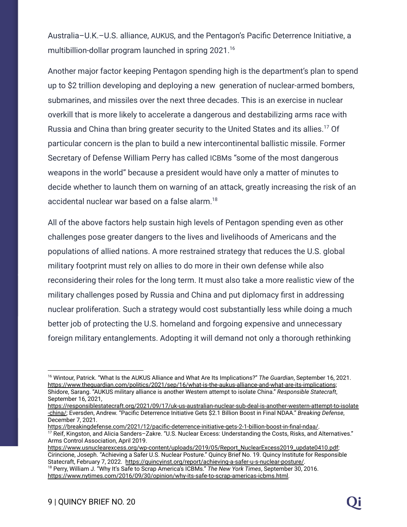Australia–U.K.–U.S. alliance, AUKUS, and the Pentagon's Pacific Deterrence Initiative, a multibillion-dollar program launched in spring 2021.<sup>16</sup>

Another major factor keeping Pentagon spending high is the department's plan to spend up to \$2 trillion developing and deploying a new generation of nuclear-armed bombers, submarines, and missiles over the next three decades. This is an exercise in nuclear overkill that is more likely to accelerate a dangerous and destabilizing arms race with Russia and China than bring greater security to the United States and its allies.<sup>17</sup> Of particular concern is the plan to build a new intercontinental ballistic missile. Former Secretary of Defense William Perry has called ICBMs "some of the most dangerous weapons in the world" because a president would have only a matter of minutes to decide whether to launch them on warning of an attack, greatly increasing the risk of an accidental nuclear war based on a false alarm.<sup>18</sup>

All of the above factors help sustain high levels of Pentagon spending even as other challenges pose greater dangers to the lives and livelihoods of Americans and the populations of allied nations. A more restrained strategy that reduces the U.S. global military footprint must rely on allies to do more in their own defense while also reconsidering their roles for the long term. It must also take a more realistic view of the military challenges posed by Russia and China and put diplomacy first in addressing nuclear proliferation. Such a strategy would cost substantially less while doing a much better job of protecting the U.S. homeland and forgoing expensive and unnecessary foreign military entanglements. Adopting it will demand not only a thorough rethinking

<sup>16</sup> Wintour, Patrick. "What Is the AUKUS Alliance and What Are Its Implications?" *The Guardian*, September 16, 2021. <https://www.theguardian.com/politics/2021/sep/16/what-is-the-aukus-alliance-and-what-are-its-implications>; Shidore, Sarang. "AUKUS military alliance is another Western attempt to isolate China." *Responsible Statecraft*, September 16, 2021,

[https://responsiblestatecraft.org/2021/09/17/uk-us-australian-nuclear-sub-deal-is-another-western-attempt-to-isolate](https://responsiblestatecraft.org/2021/09/17/uk-us-australian-nuclear-sub-deal-is-another-western-attempt-to-isolate-china/) [-china/;](https://responsiblestatecraft.org/2021/09/17/uk-us-australian-nuclear-sub-deal-is-another-western-attempt-to-isolate-china/) Eversden, Andrew. "Pacific Deterrence Initiative Gets \$2.1 Billion Boost in Final NDAA." *Breaking Defense*, December 7, 2021.

<sup>17</sup> Reif, Kingston, and Alicia Sanders–Zakre. "U.S. Nuclear Excess: Understanding the Costs, Risks, and Alternatives." Arms Control Association, April 2019. [https://breakingdefense.com/2021/12/pacific-deterrence-initiative-gets-2-1-billion-boost-in-final-ndaa/.](https://breakingdefense.com/2021/12/pacific-deterrence-initiative-gets-2-1-billion-boost-in-final-ndaa/)

<sup>18</sup> Perry, William J. "Why It's Safe to Scrap America's ICBMs." *The New York Times*, September 30, 2016. [https://www.nytimes.com/2016/09/30/opinion/why-its-safe-to-scrap-americas-icbms.html.](https://www.nytimes.com/2016/09/30/opinion/why-its-safe-to-scrap-americas-icbms.html) [https://www.usnuclearexcess.org/wp-content/uploads/2019/05/Report\\_NuclearExcess2019\\_update0410.pdf](https://www.usnuclearexcess.org/wp-content/uploads/2019/05/Report_NuclearExcess2019_update0410.pdf); Cirincione, Joseph. "Achieving a Safer U.S. Nuclear Posture." Quincy Brief No. 19. Quincy Institute for Responsible Statecraft, February 7, 2022. <https://quincyinst.org/report/achieving-a-safer-u-s-nuclear-posture/>.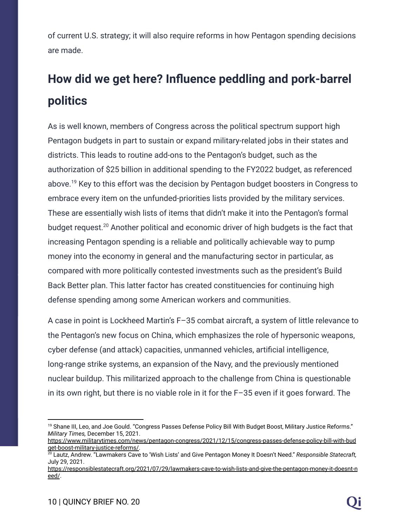of current U.S. strategy; it will also require reforms in how Pentagon spending decisions are made.

## **How did we get here? Influence peddling and pork-barrel politics**

As is well known, members of Congress across the political spectrum support high Pentagon budgets in part to sustain or expand military-related jobs in their states and districts. This leads to routine add-ons to the Pentagon's budget, such as the authorization of \$25 billion in additional spending to the FY2022 budget, as referenced above.<sup>19</sup> Key to this effort was the decision by Pentagon budget boosters in Congress to embrace every item on the unfunded-priorities lists provided by the military services. These are essentially wish lists of items that didn't make it into the Pentagon's formal budget request.<sup>20</sup> Another political and economic driver of high budgets is the fact that increasing Pentagon spending is a reliable and politically achievable way to pump money into the economy in general and the manufacturing sector in particular, as compared with more politically contested investments such as the president's Build Back Better plan. This latter factor has created constituencies for continuing high defense spending among some American workers and communities.

A case in point is Lockheed Martin's F–35 combat aircraft, a system of little relevance to the Pentagon's new focus on China, which emphasizes the role of hypersonic weapons, cyber defense (and attack) capacities, unmanned vehicles, artificial intelligence, long-range strike systems, an expansion of the Navy, and the previously mentioned nuclear buildup. This militarized approach to the challenge from China is questionable in its own right, but there is no viable role in it for the F–35 even if it goes forward. The

<sup>&</sup>lt;sup>19</sup> Shane III, Leo, and Joe Gould. "Congress Passes Defense Policy Bill With Budget Boost, Military Justice Reforms." *Military Times,* December 15, 2021.

[https://www.militarytimes.com/news/pentagon-congress/2021/12/15/congress-passes-defense-policy-bill-with-bud](https://www.militarytimes.com/news/pentagon-congress/2021/12/15/congress-passes-defense-policy-bill-with-budget-boost-military-justice-reforms/) [get-boost-military-justice-reforms/.](https://www.militarytimes.com/news/pentagon-congress/2021/12/15/congress-passes-defense-policy-bill-with-budget-boost-military-justice-reforms/)

<sup>20</sup> Lautz, Andrew. "Lawmakers Cave to 'Wish Lists' and Give Pentagon Money It Doesn't Need." *Responsible Statecraft,* July 29, 2021.

[https://responsiblestatecraft.org/2021/07/29/lawmakers-cave-to-wish-lists-and-give-the-pentagon-money-it-doesnt-n](https://responsiblestatecraft.org/2021/07/29/lawmakers-cave-to-wish-lists-and-give-the-pentagon-money-it-doesnt-need/) [eed/](https://responsiblestatecraft.org/2021/07/29/lawmakers-cave-to-wish-lists-and-give-the-pentagon-money-it-doesnt-need/).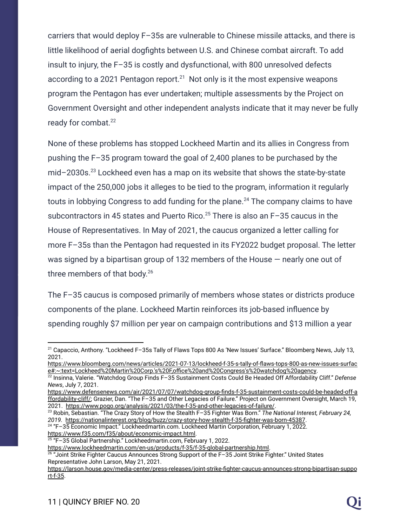carriers that would deploy F–35s are vulnerable to Chinese missile attacks, and there is little likelihood of aerial dogfights between U.S. and Chinese combat aircraft. To add insult to injury, the F–35 is costly and dysfunctional, with 800 unresolved defects according to a 2021 Pentagon report.<sup>21</sup> Not only is it the most expensive weapons program the Pentagon has ever undertaken; multiple assessments by the Project on Government Oversight and other independent analysts indicate that it may never be fully ready for combat.<sup>22</sup>

None of these problems has stopped Lockheed Martin and its allies in Congress from pushing the F–35 program toward the goal of 2,400 planes to be purchased by the mid-2030s.<sup>23</sup> Lockheed even has a map on its website that shows the state-by-state impact of the 250,000 jobs it alleges to be tied to the program, information it regularly touts in lobbying Congress to add funding for the plane. $^{24}$  The company claims to have subcontractors in 45 states and Puerto Rico.<sup>25</sup> There is also an  $F-35$  caucus in the House of Representatives. In May of 2021, the caucus organized a letter calling for more F–35s than the Pentagon had requested in its FY2022 budget proposal. The letter was signed by a bipartisan group of 132 members of the House — nearly one out of three members of that body.<sup>26</sup>

The F–35 caucus is composed primarily of members whose states or districts produce components of the plane. Lockheed Martin reinforces its job-based influence by spending roughly \$7 million per year on campaign contributions and \$13 million a year

<sup>21</sup> Capaccio, Anthony. "Lockheed F–35s Tally of Flaws Tops 800 As 'New Issues' Surface." Bloomberg News, July 13, 2021.

[https://www.bloomberg.com/news/articles/2021-07-13/lockheed-f-35-s-tally-of-flaws-tops-800-as-new-issues-surfac](https://www.bloomberg.com/news/articles/2021-07-13/lockheed-f-35-s-tally-of-flaws-tops-800-as-new-issues-surface#:~:text=Lockheed%20Martin%20Corp.) [e#:~:text=Lockheed%20Martin%20Corp.'s%20F,office%20and%20Congress's%20watchdog%20agency](https://www.bloomberg.com/news/articles/2021-07-13/lockheed-f-35-s-tally-of-flaws-tops-800-as-new-issues-surface#:~:text=Lockheed%20Martin%20Corp.).

<sup>22</sup> Insinna, Valerie. "Watchdog Group Finds F–35 Sustainment Costs Could Be Headed Off Affordability Cliff." *Defense News*, July 7, 2021.

[https://www.defensenews.com/air/2021/07/07/watchdog-group-finds-f-35-sustainment-costs-could-be-headed-off-a](https://www.defensenews.com/air/2021/07/07/watchdog-group-finds-f-35-sustainment-costs-could-be-headed-off-affordability-cliff/) [ffordability-cliff/;](https://www.defensenews.com/air/2021/07/07/watchdog-group-finds-f-35-sustainment-costs-could-be-headed-off-affordability-cliff/) Grazier, Dan. "The F–35 and Other Legacies of Failure." Project on Government Oversight, March 19, 2021. <https://www.pogo.org/analysis/2021/03/the-f-35-and-other-legacies-of-failure/>.

<sup>23</sup> Robin, Sebastian. "The Crazy Story of How the Stealth F–35 Fighter Was Born." *The National Interest, February 24, 2019.* <https://nationalinterest.org/blog/buzz/crazy-story-how-stealth-f-35-fighter-was-born-45387>.

<sup>24</sup> "F–35 Economic Impact." Lockheedmartin.com. Lockheed Martin Corporation, February 1, 2022. [https://www.f35.com/f35/about/economic-impact.html.](https://www.f35.com/f35/about/economic-impact.html)

<sup>25</sup> "F–35 Global Partnership." Lockheedmartin.com, February 1, 2022.

[https://www.lockheedmartin.com/en-us/products/f-35/f-35-global-partnership.html.](https://www.lockheedmartin.com/en-us/products/f-35/f-35-global-partnership.html)

 $^{26}$  "Joint Strike Fighter Caucus Announces Strong Support of the F–35 Joint Strike Fighter." United States Representative John Larson, May 21, 2021.

[https://larson.house.gov/media-center/press-releases/joint-strike-fighter-caucus-announces-strong-bipartisan-suppo](https://larson.house.gov/media-center/press-releases/joint-strike-fighter-caucus-announces-strong-bipartisan-support-f-35) [rt-f-35](https://larson.house.gov/media-center/press-releases/joint-strike-fighter-caucus-announces-strong-bipartisan-support-f-35).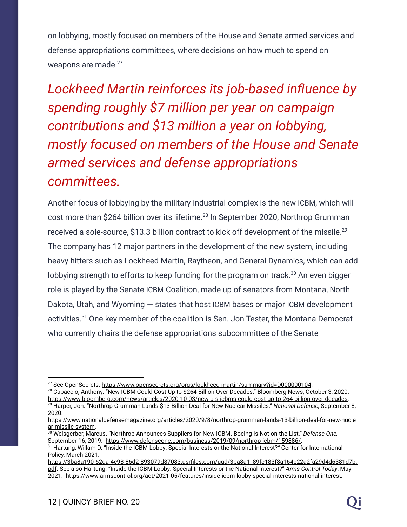on lobbying, mostly focused on members of the House and Senate armed services and defense appropriations committees, where decisions on how much to spend on weapons are made.<sup>27</sup>

*Lockheed Martin reinforces its job-based influence by spending roughly \$7 million per year on campaign contributions and \$13 million a year on lobbying, mostly focused on members of the House and Senate armed services and defense appropriations committees.*

Another focus of lobbying by the military-industrial complex is the new ICBM, which will cost more than \$264 billion over its lifetime.<sup>28</sup> In September 2020, Northrop Grumman received a sole-source, \$13.3 billion contract to kick off development of the missile.<sup>29</sup> The company has 12 major partners in the development of the new system, including heavy hitters such as Lockheed Martin, Raytheon, and General Dynamics, which can add lobbying strength to efforts to keep funding for the program on track.<sup>30</sup> An even bigger role is played by the Senate ICBM Coalition, made up of senators from Montana, North Dakota, Utah, and Wyoming — states that host ICBM bases or major ICBM development activities. $31$  One key member of the coalition is Sen. Jon Tester, the Montana Democrat who currently chairs the defense appropriations subcommittee of the Senate

<sup>&</sup>lt;sup>27</sup> See OpenSecrets. <https://www.opensecrets.org/orgs/lockheed-martin/summary?id=D000000104>.

<sup>29</sup> Harper, Jon. "Northrop Grumman Lands \$13 Billion Deal for New Nuclear Missiles." *National Defense,* September 8, 2020. <sup>28</sup> Capaccio, Anthony. "New ICBM Could Cost Up to \$264 Billion Over Decades." Bloomberg News, October 3, 2020. <https://www.bloomberg.com/news/articles/2020-10-03/new-u-s-icbms-could-cost-up-to-264-billion-over-decades>.

[https://www.nationaldefensemagazine.org/articles/2020/9/8/northrop-grumman-lands-13-billion-deal-for-new-nucle](https://www.nationaldefensemagazine.org/articles/2020/9/8/northrop-grumman-lands-13-billion-deal-for-new-nuclear-missile-system) [ar-missile-system.](https://www.nationaldefensemagazine.org/articles/2020/9/8/northrop-grumman-lands-13-billion-deal-for-new-nuclear-missile-system)

<sup>30</sup> Weisgerber, Marcus. "Northrop Announces Suppliers for New ICBM. Boeing Is Not on the List." *Defense One,* September 16, 2019. [https://www.defenseone.com/business/2019/09/northrop-icbm/159886/.](https://www.defenseone.com/business/2019/09/northrop-icbm/159886/)

<sup>31</sup> Hartung, Willam D. "Inside the ICBM Lobby: Special Interests or the National Interest?*"* Center for International Policy, March 2021.

[https://3ba8a190-62da-4c98-86d2-893079d87083.usrfiles.com/ugd/3ba8a1\\_89fe183f8a164e22a2fa29d4d6381d7b.](https://3ba8a190-62da-4c98-86d2-893079d87083.usrfiles.com/ugd/3ba8a1_89fe183f8a164e22a2fa29d4d6381d7b.pdf) [pdf](https://3ba8a190-62da-4c98-86d2-893079d87083.usrfiles.com/ugd/3ba8a1_89fe183f8a164e22a2fa29d4d6381d7b.pdf). See also Hartung. "Inside the ICBM Lobby: Special Interests or the National Interest?" *Arms Control Today*, May 2021. <https://www.armscontrol.org/act/2021-05/features/inside-icbm-lobby-special-interests-national-interest>.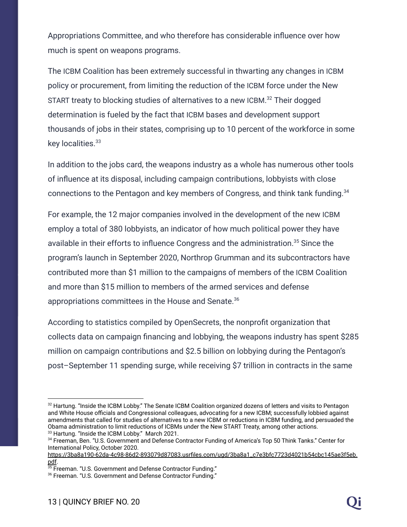Appropriations Committee, and who therefore has considerable influence over how much is spent on weapons programs.

The ICBM Coalition has been extremely successful in thwarting any changes in ICBM policy or procurement, from limiting the reduction of the ICBM force under the New START treaty to blocking studies of alternatives to a new ICBM.<sup>32</sup> Their dogged determination is fueled by the fact that ICBM bases and development support thousands of jobs in their states, comprising up to 10 percent of the workforce in some key localities.<sup>33</sup>

In addition to the jobs card, the weapons industry as a whole has numerous other tools of influence at its disposal, including campaign contributions, lobbyists with close connections to the Pentagon and key members of Congress, and think tank funding.<sup>34</sup>

For example, the 12 major companies involved in the development of the new ICBM employ a total of 380 lobbyists, an indicator of how much political power they have available in their efforts to influence Congress and the administration.<sup>35</sup> Since the program's launch in September 2020, Northrop Grumman and its subcontractors have contributed more than \$1 million to the campaigns of members of the ICBM Coalition and more than \$15 million to members of the armed services and defense appropriations committees in the House and Senate.<sup>36</sup>

According to statistics compiled by OpenSecrets, the nonprofit organization that collects data on campaign financing and lobbying, the weapons industry has spent \$285 million on campaign contributions and \$2.5 billion on lobbying during the Pentagon's post–September 11 spending surge, while receiving \$7 trillion in contracts in the same

<sup>&</sup>lt;sup>33</sup> Hartung. "Inside the ICBM Lobby." March 2021. 32 Hartung. "Inside the ICBM Lobby." The Senate ICBM Coalition organized dozens of letters and visits to Pentagon and White House officials and Congressional colleagues, advocating for a new ICBM; successfully lobbied against amendments that called for studies of alternatives to a new ICBM or reductions in ICBM funding, and persuaded the Obama administration to limit reductions of ICBMs under the New START Treaty, among other actions.

<sup>34</sup> Freeman, Ben. "U.S. Government and Defense Contractor Funding of America's Top 50 Think Tanks." Center for International Policy, October 2020.

[https://3ba8a190-62da-4c98-86d2-893079d87083.usrfiles.com/ugd/3ba8a1\\_c7e3bfc7723d4021b54cbc145ae3f5eb.](https://3ba8a190-62da-4c98-86d2-893079d87083.usrfiles.com/ugd/3ba8a1_c7e3bfc7723d4021b54cbc145ae3f5eb.pdf) [pdf](https://3ba8a190-62da-4c98-86d2-893079d87083.usrfiles.com/ugd/3ba8a1_c7e3bfc7723d4021b54cbc145ae3f5eb.pdf).

<sup>&</sup>lt;sup>35</sup> Freeman. "U.S. Government and Defense Contractor Funding."

<sup>36</sup> Freeman. "U.S. Government and Defense Contractor Funding."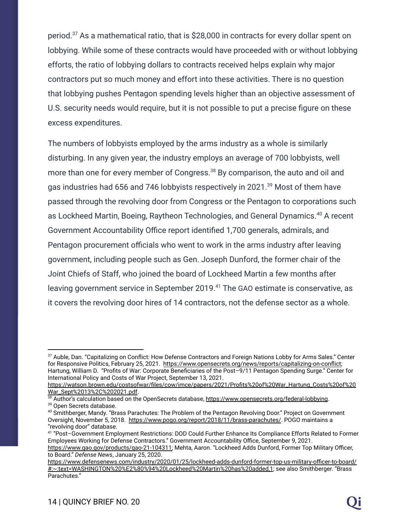period.<sup>37</sup> As a mathematical ratio, that is  $$28,000$  in contracts for every dollar spent on lobbying. While some of these contracts would have proceeded with or without lobbying efforts, the ratio of lobbying dollars to contracts received helps explain why major contractors put so much money and effort into these activities. There is no question that lobbying pushes Pentagon spending levels higher than an objective assessment of U.S. security needs would require, but it is not possible to put a precise figure on these excess expenditures.

The numbers of lobbyists employed by the arms industry as a whole is similarly disturbing. In any given year, the industry employs an average of 700 lobbyists, well more than one for every member of Congress.<sup>38</sup> By comparison, the auto and oil and gas industries had 656 and 746 lobbyists respectively in 2021.<sup>39</sup> Most of them have passed through the revolving door from Congress or the Pentagon to corporations such as Lockheed Martin, Boeing, Raytheon Technologies, and General Dynamics.<sup>40</sup> A recent Government Accountability Office report identified 1,700 generals, admirals, and Pentagon procurement officials who went to work in the arms industry after leaving government, including people such as Gen. Joseph Dunford, the former chair of the Joint Chiefs of Staff, who joined the board of Lockheed Martin a few months after leaving government service in September 2019.<sup>41</sup> The GAO estimate is conservative, as it covers the revolving door hires of 14 contractors, not the defense sector as a whole.

<sup>37</sup> Auble, Dan. "Capitalizing on Conflict: How Defense Contractors and Foreign Nations Lobby for Arms Sales." Center for Responsive Politics, February 25, 2021. <https://www.opensecrets.org/news/reports/capitalizing-on-conflict>; Hartung, William D. "Profits of War: Corporate Beneficiaries of the Post–9/11 Pentagon Spending Surge." Center for International Policy and Costs of War Project, September 13, 2021.

[https://watson.brown.edu/costsofwar/files/cow/imce/papers/2021/Profits%20of%20War\\_Hartung\\_Costs%20of%20](https://watson.brown.edu/costsofwar/files/cow/imce/papers/2021/Profits%20of%20War_Hartung_Costs%20of%20War_Sept%2013%2C%202021.pdf) [War\\_Sept%2013%2C%202021.pdf.](https://watson.brown.edu/costsofwar/files/cow/imce/papers/2021/Profits%20of%20War_Hartung_Costs%20of%20War_Sept%2013%2C%202021.pdf)

<sup>39</sup> Open Secrets database. <sup>38</sup> Author's calculation based on the OpenSecrets database, <https://www.opensecrets.org/federal-lobbying>.

<sup>&</sup>lt;sup>40</sup> Smithberger, Mandy. "Brass Parachutes: The Problem of the Pentagon Revolving Door." Project on Government Oversight, November 5, 2018. <https://www.pogo.org/report/2018/11/brass-parachutes/>. POGO maintains a "revolving door" database.

<sup>41</sup> "Post–Government Employment Restrictions: DOD Could Further Enhance Its Compliance Efforts Related to Former Employees Working for Defense Contractors." Government Accountability Office, September 9, 2021. [https://www.gao.gov/products/gao-21-104311;](https://www.gao.gov/products/gao-21-104311) Mehta, Aaron. "Lockheed Adds Dunford, Former Top Military Officer, to Board." *Defense News*, January 25, 2020.

[https://www.defensenews.com/industry/2020/01/25/lockheed-adds-dunford-former-top-us-military-officer-to-board/](https://www.defensenews.com/industry/2020/01/25/lockheed-adds-dunford-former-top-us-military-officer-to-board/#:~:text=WASHINGTON%20%E2%80%94%20Lockheed%20Martin%20has%20added,10) [#:~:text=WASHINGTON%20%E2%80%94%20Lockheed%20Martin%20has%20added,1](https://www.defensenews.com/industry/2020/01/25/lockheed-adds-dunford-former-top-us-military-officer-to-board/#:~:text=WASHINGTON%20%E2%80%94%20Lockheed%20Martin%20has%20added,10); see also Smithberger. "Brass Parachutes."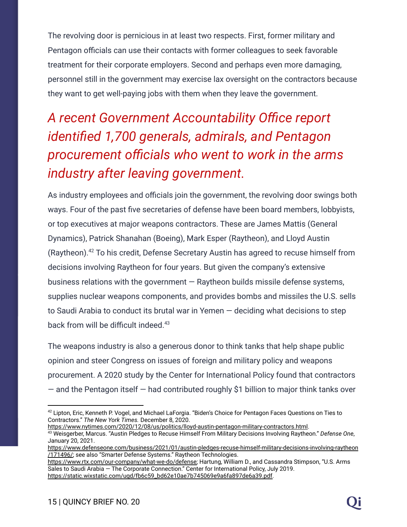The revolving door is pernicious in at least two respects. First, former military and Pentagon officials can use their contacts with former colleagues to seek favorable treatment for their corporate employers. Second and perhaps even more damaging, personnel still in the government may exercise lax oversight on the contractors because they want to get well-paying jobs with them when they leave the government.

## *A recent Government Accountability Office report identified 1,700 generals, admirals, and Pentagon procurement officials who went to work in the arms industry after leaving government.*

As industry employees and officials join the government, the revolving door swings both ways. Four of the past five secretaries of defense have been board members, lobbyists, or top executives at major weapons contractors. These are James Mattis (General Dynamics), Patrick Shanahan (Boeing), Mark Esper (Raytheon), and Lloyd Austin (Raytheon).<sup>42</sup> To his credit, Defense Secretary Austin has agreed to recuse himself from decisions involving Raytheon for four years. But given the company's extensive business relations with the government  $-$  Raytheon builds missile defense systems, supplies nuclear weapons components, and provides bombs and missiles the U.S. sells to Saudi Arabia to conduct its brutal war in Yemen — deciding what decisions to step back from will be difficult indeed.<sup>43</sup>

The weapons industry is also a generous donor to think tanks that help shape public opinion and steer Congress on issues of foreign and military policy and weapons procurement. A 2020 study by the Center for International Policy found that contractors  $-$  and the Pentagon itself  $-$  had contributed roughly \$1 billion to major think tanks over

<sup>43</sup> Weisgerber, Marcus. "Austin Pledges to Recuse Himself From Military Decisions Involving Raytheon." *Defense One*, January 20, 2021. <https://www.nytimes.com/2020/12/08/us/politics/lloyd-austin-pentagon-military-contractors.html>.

<sup>&</sup>lt;sup>42</sup> Lipton, Eric, Kenneth P. Vogel, and Michael LaForgia. "Biden's Choice for Pentagon Faces Questions on Ties to Contractors." *The New York Times.* December 8, 2020.

[https://www.defenseone.com/business/2021/01/austin-pledges-recuse-himself-military-decisions-involving-raytheon](https://www.defenseone.com/business/2021/01/austin-pledges-recuse-himself-military-decisions-involving-raytheon/171496/) [/171496/;](https://www.defenseone.com/business/2021/01/austin-pledges-recuse-himself-military-decisions-involving-raytheon/171496/) see also "Smarter Defense Systems." Raytheon Technologies.

[https://www.rtx.com/our-company/what-we-do/defense;](https://www.rtx.com/our-company/what-we-do/defense) Hartung, William D., and Cassandra Stimpson, "U.S. Arms Sales to Saudi Arabia — The Corporate Connection." Center for International Policy, July 2019. [https://static.wixstatic.com/ugd/fb6c59\\_bd62e10ae7b745069e9a6fa897de6a39.pdf.](https://static.wixstatic.com/ugd/fb6c59_bd62e10ae7b745069e9a6fa897de6a39.pdf)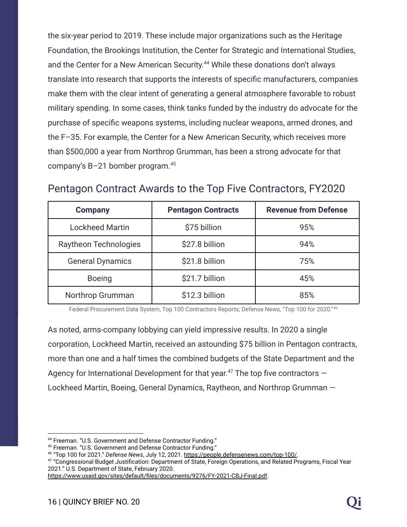the six-year period to 2019. These include major organizations such as the Heritage Foundation, the Brookings Institution, the Center for Strategic and International Studies, and the Center for a New American Security.<sup>44</sup> While these donations don't always translate into research that supports the interests of specific manufacturers, companies make them with the clear intent of generating a general atmosphere favorable to robust military spending. In some cases, think tanks funded by the industry do advocate for the purchase of specific weapons systems, including nuclear weapons, armed drones, and the F–35. For example, the Center for a New American Security, which receives more than \$500,000 a year from Northrop Grumman, has been a strong advocate for that company's B–21 bomber program.<sup>45</sup>

| <b>Company</b>               | <b>Pentagon Contracts</b> | <b>Revenue from Defense</b> |
|------------------------------|---------------------------|-----------------------------|
| <b>Lockheed Martin</b>       | \$75 billion              | 95%                         |
| <b>Raytheon Technologies</b> | \$27.8 billion            | 94%                         |
| <b>General Dynamics</b>      | \$21.8 billion            | 75%                         |
| <b>Boeing</b>                | \$21.7 billion            | 45%                         |
| Northrop Grumman             | \$12.3 billion            | 85%                         |

#### Pentagon Contract Awards to the Top Five Contractors, FY2020

Federal Procurement Data System, Top 100 Contractors Reports; Defense News, "Top 100 for 2020." 46

As noted, arms-company lobbying can yield impressive results. In 2020 a single corporation, Lockheed Martin, received an astounding \$75 billion in Pentagon contracts, more than one and a half times the combined budgets of the State Department and the Agency for International Development for that year.<sup>47</sup> The top five contractors  $-$ Lockheed Martin, Boeing, General Dynamics, Raytheon, and Northrop Grumman —

<sup>44</sup> Freeman. "U.S. Government and Defense Contractor Funding."

<sup>45</sup> Freeman. "U.S. Government and Defense Contractor Funding."

<sup>46</sup> "Top 100 for 2021." *Defense News*, July 12, 2021. [https://people.defensenews.com/top-100/.](https://people.defensenews.com/top-100/)

 $^{47}$  "Congressional Budget Justification: Department of State, Foreign Operations, and Related Programs, Fiscal Year 2021." U.S. Department of State, February 2020.

<https://www.usaid.gov/sites/default/files/documents/9276/FY-2021-CBJ-Final.pdf>.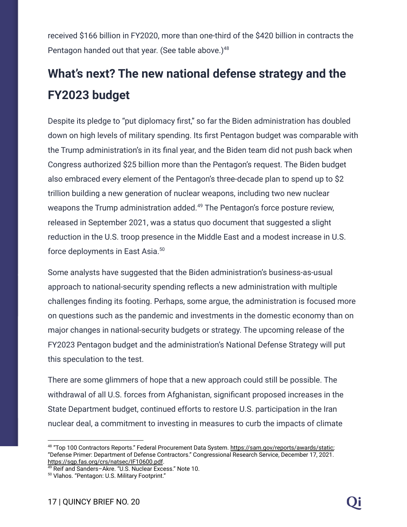received \$166 billion in FY2020, more than one-third of the \$420 billion in contracts the Pentagon handed out that year. (See table above.)<sup>48</sup>

### **What's next? The new national defense strategy and the FY2023 budget**

Despite its pledge to "put diplomacy first," so far the Biden administration has doubled down on high levels of military spending. Its first Pentagon budget was comparable with the Trump administration's in its final year, and the Biden team did not push back when Congress authorized \$25 billion more than the Pentagon's request. The Biden budget also embraced every element of the Pentagon's three-decade plan to spend up to \$2 trillion building a new generation of nuclear weapons, including two new nuclear weapons the Trump administration added.<sup>49</sup> The Pentagon's force posture review, released in September 2021, was a status quo document that suggested a slight reduction in the U.S. troop presence in the Middle East and a modest increase in U.S. force deployments in East Asia.<sup>50</sup>

Some analysts have suggested that the Biden administration's business-as-usual approach to national-security spending reflects a new administration with multiple challenges finding its footing. Perhaps, some argue, the administration is focused more on questions such as the pandemic and investments in the domestic economy than on major changes in national-security budgets or strategy. The upcoming release of the FY2023 Pentagon budget and the administration's National Defense Strategy will put this speculation to the test.

There are some glimmers of hope that a new approach could still be possible. The withdrawal of all U.S. forces from Afghanistan, significant proposed increases in the State Department budget, continued efforts to restore U.S. participation in the Iran nuclear deal, a commitment to investing in measures to curb the impacts of climate

<sup>&</sup>lt;sup>48</sup> "Top 100 Contractors Reports." Federal Procurement Data System. <u>https://sam.gov/reports/awards/static</u>; "Defense Primer: Department of Defense Contractors." Congressional Research Service, December 17, 2021. <https://sgp.fas.org/crs/natsec/IF10600.pdf>.

<sup>49</sup> Reif and Sanders–Akre. "U.S. Nuclear Excess." Note 10.

<sup>50</sup> Vlahos. "Pentagon: U.S. Military Footprint."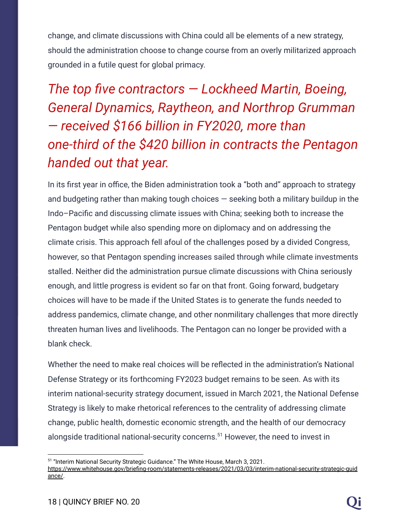change, and climate discussions with China could all be elements of a new strategy, should the administration choose to change course from an overly militarized approach grounded in a futile quest for global primacy.

## *The top five contractors — Lockheed Martin, Boeing, General Dynamics, Raytheon, and Northrop Grumman — received \$166 billion in FY2020, more than one-third of the \$420 billion in contracts the Pentagon handed out that year.*

In its first year in office, the Biden administration took a "both and" approach to strategy and budgeting rather than making tough choices  $-$  seeking both a military buildup in the Indo–Pacific and discussing climate issues with China; seeking both to increase the Pentagon budget while also spending more on diplomacy and on addressing the climate crisis. This approach fell afoul of the challenges posed by a divided Congress, however, so that Pentagon spending increases sailed through while climate investments stalled. Neither did the administration pursue climate discussions with China seriously enough, and little progress is evident so far on that front. Going forward, budgetary choices will have to be made if the United States is to generate the funds needed to address pandemics, climate change, and other nonmilitary challenges that more directly threaten human lives and livelihoods. The Pentagon can no longer be provided with a blank check.

Whether the need to make real choices will be reflected in the administration's National Defense Strategy or its forthcoming FY2023 budget remains to be seen. As with its interim national-security strategy document, issued in March 2021, the National Defense Strategy is likely to make rhetorical references to the centrality of addressing climate change, public health, domestic economic strength, and the health of our democracy alongside traditional national-security concerns.<sup>51</sup> However, the need to invest in

<sup>&</sup>lt;sup>51</sup> "Interim National Security Strategic Guidance." The White House, March 3, 2021. [https://www.whitehouse.gov/briefing-room/statements-releases/2021/03/03/interim-national-security-strategic-guid](https://www.whitehouse.gov/briefing-room/statements-releases/2021/03/03/interim-national-security-strategic-guidance/) [ance/](https://www.whitehouse.gov/briefing-room/statements-releases/2021/03/03/interim-national-security-strategic-guidance/).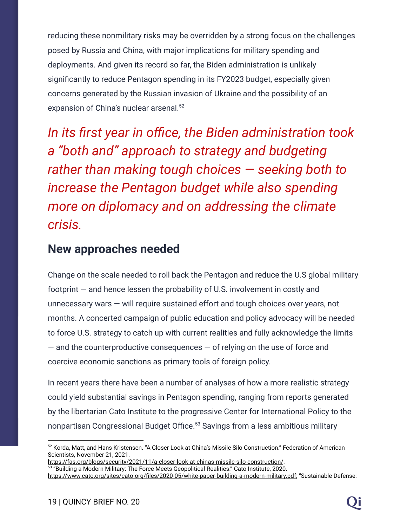reducing these nonmilitary risks may be overridden by a strong focus on the challenges posed by Russia and China, with major implications for military spending and deployments. And given its record so far, the Biden administration is unlikely significantly to reduce Pentagon spending in its FY2023 budget, especially given concerns generated by the Russian invasion of Ukraine and the possibility of an expansion of China's nuclear arsenal.<sup>52</sup>

*In its first year in office, the Biden administration took a "both and" approach to strategy and budgeting rather than making tough choices — seeking both to increase the Pentagon budget while also spending more on diplomacy and on addressing the climate crisis.*

#### **New approaches needed**

Change on the scale needed to roll back the Pentagon and reduce the U.S global military footprint — and hence lessen the probability of U.S. involvement in costly and unnecessary wars — will require sustained effort and tough choices over years, not months. A concerted campaign of public education and policy advocacy will be needed to force U.S. strategy to catch up with current realities and fully acknowledge the limits  $-$  and the counterproductive consequences  $-$  of relying on the use of force and coercive economic sanctions as primary tools of foreign policy.

In recent years there have been a number of analyses of how a more realistic strategy could yield substantial savings in Pentagon spending, ranging from reports generated by the libertarian Cato Institute to the progressive Center for International Policy to the nonpartisan Congressional Budget Office.<sup>53</sup> Savings from a less ambitious military

<sup>52</sup> Korda, Matt, and Hans Kristensen. "A Closer Look at China's Missile Silo Construction." Federation of American Scientists, November 21, 2021.

 $^{\text{53}}$  "Building a Modern Military: The Force Meets Geopolitical Realities." Cato Institute, 2020. <https://fas.org/blogs/security/2021/11/a-closer-look-at-chinas-missile-silo-construction/>.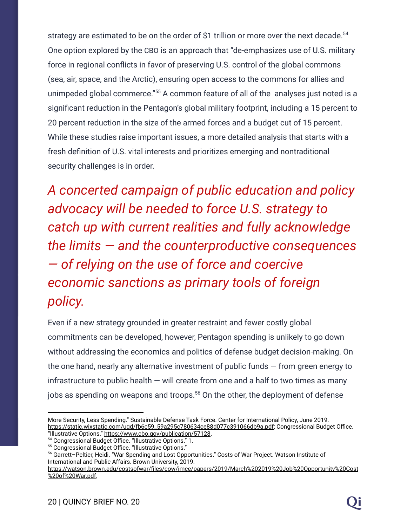strategy are estimated to be on the order of \$1 trillion or more over the next decade.<sup>54</sup> One option explored by the CBO is an approach that "de-emphasizes use of U.S. military force in regional conflicts in favor of preserving U.S. control of the global commons (sea, air, space, and the Arctic), ensuring open access to the commons for allies and unimpeded global commerce."<sup>55</sup> A common feature of all of the analyses just noted is a significant reduction in the Pentagon's global military footprint, including a 15 percent to 20 percent reduction in the size of the armed forces and a budget cut of 15 percent. While these studies raise important issues, a more detailed analysis that starts with a fresh definition of U.S. vital interests and prioritizes emerging and nontraditional security challenges is in order.

*A concerted campaign of public education and policy advocacy will be needed to force U.S. strategy to catch up with current realities and fully acknowledge the limits — and the counterproductive consequences — of relying on the use of force and coercive economic sanctions as primary tools of foreign policy.*

Even if a new strategy grounded in greater restraint and fewer costly global commitments can be developed, however, Pentagon spending is unlikely to go down without addressing the economics and politics of defense budget decision-making. On the one hand, nearly any alternative investment of public funds — from green energy to infrastructure to public health  $-$  will create from one and a half to two times as many jobs as spending on weapons and troops.<sup>56</sup> On the other, the deployment of defense

More Security, Less Spending." Sustainable Defense Task Force. Center for International Policy, June 2019. [https://static.wixstatic.com/ugd/fb6c59\\_59a295c780634ce88d077c391066db9a.pdf;](https://static.wixstatic.com/ugd/fb6c59_59a295c780634ce88d077c391066db9a.pdf) Congressional Budget Office. "Illustrative Options." [https://www.cbo.gov/publication/57128.](https://www.cbo.gov/publication/57128)

<sup>54</sup> Congressional Budget Office. "Illustrative Options." 1.

<sup>55</sup> Congressional Budget Office. "Illustrative Options."

<sup>56</sup> Garrett–Peltier, Heidi. "War Spending and Lost Opportunities." Costs of War Project. Watson Institute of International and Public Affairs. Brown University, 2019.

[https://watson.brown.edu/costsofwar/files/cow/imce/papers/2019/March%202019%20Job%20Opportunity%20Cost](https://watson.brown.edu/costsofwar/files/cow/imce/papers/2019/March%202019%20Job%20Opportunity%20Cost%20of%20War.pdf) [%20of%20War.pdf.](https://watson.brown.edu/costsofwar/files/cow/imce/papers/2019/March%202019%20Job%20Opportunity%20Cost%20of%20War.pdf)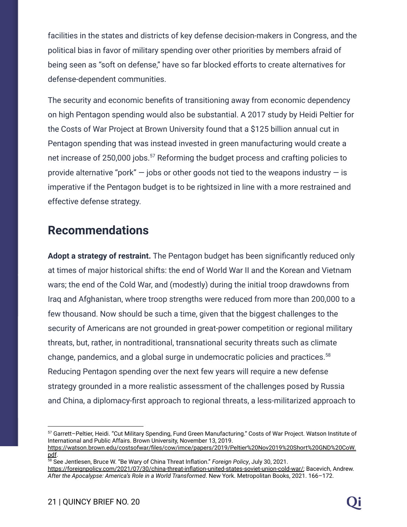facilities in the states and districts of key defense decision-makers in Congress, and the political bias in favor of military spending over other priorities by members afraid of being seen as "soft on defense," have so far blocked efforts to create alternatives for defense-dependent communities.

The security and economic benefits of transitioning away from economic dependency on high Pentagon spending would also be substantial. A 2017 study by Heidi Peltier for the Costs of War Project at Brown University found that a \$125 billion annual cut in Pentagon spending that was instead invested in green manufacturing would create a net increase of 250,000 jobs. $57$  Reforming the budget process and crafting policies to provide alternative "pork"  $-$  jobs or other goods not tied to the weapons industry  $-$  is imperative if the Pentagon budget is to be rightsized in line with a more restrained and effective defense strategy.

#### **Recommendations**

**Adopt a strategy of restraint.** The Pentagon budget has been significantly reduced only at times of major historical shifts: the end of World War II and the Korean and Vietnam wars; the end of the Cold War, and (modestly) during the initial troop drawdowns from Iraq and Afghanistan, where troop strengths were reduced from more than 200,000 to a few thousand. Now should be such a time, given that the biggest challenges to the security of Americans are not grounded in great-power competition or regional military threats, but, rather, in nontraditional, transnational security threats such as climate change, pandemics, and a global surge in undemocratic policies and practices.<sup>58</sup> Reducing Pentagon spending over the next few years will require a new defense strategy grounded in a more realistic assessment of the challenges posed by Russia and China, a diplomacy-first approach to regional threats, a less-militarized approach to

<sup>57</sup> Garrett–Peltier, Heidi. "Cut Military Spending, Fund Green Manufacturing." Costs of War Project. Watson Institute of International and Public Affairs. Brown University, November 13, 2019.

[https://watson.brown.edu/costsofwar/files/cow/imce/papers/2019/Peltier%20Nov2019%20Short%20GND%20CoW.](https://watson.brown.edu/costsofwar/files/cow/imce/papers/2019/Peltier%20Nov2019%20Short%20GND%20CoW.pdf) [pdf](https://watson.brown.edu/costsofwar/files/cow/imce/papers/2019/Peltier%20Nov2019%20Short%20GND%20CoW.pdf).

<sup>58</sup> See Jentlesen, Bruce W. "Be Wary of China Threat Inflation." *Foreign Policy*, July 30, 2021.

[https://foreignpolicy.com/2021/07/30/china-threat-inflation-united-states-soviet-union-cold-war/;](https://foreignpolicy.com/2021/07/30/china-threat-inflation-united-states-soviet-union-cold-war/) Bacevich, Andrew. *After the Apocalypse: America's Role in a World Transformed*. New York. Metropolitan Books, 2021. 166–172.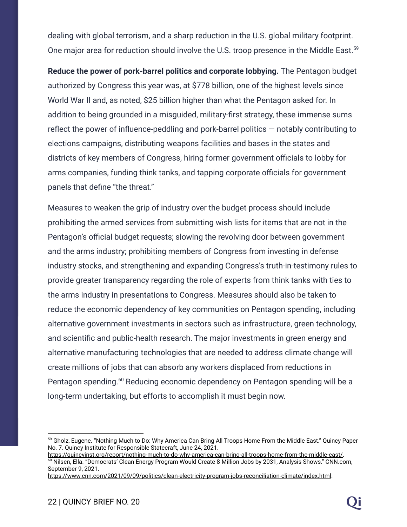dealing with global terrorism, and a sharp reduction in the U.S. global military footprint. One major area for reduction should involve the U.S. troop presence in the Middle East.<sup>59</sup>

**Reduce the power of pork-barrel politics and corporate lobbying.** The Pentagon budget authorized by Congress this year was, at \$778 billion, one of the highest levels since World War II and, as noted, \$25 billion higher than what the Pentagon asked for. In addition to being grounded in a misguided, military-first strategy, these immense sums reflect the power of influence-peddling and pork-barrel politics — notably contributing to elections campaigns, distributing weapons facilities and bases in the states and districts of key members of Congress, hiring former government officials to lobby for arms companies, funding think tanks, and tapping corporate officials for government panels that define "the threat."

Measures to weaken the grip of industry over the budget process should include prohibiting the armed services from submitting wish lists for items that are not in the Pentagon's official budget requests; slowing the revolving door between government and the arms industry; prohibiting members of Congress from investing in defense industry stocks, and strengthening and expanding Congress's truth-in-testimony rules to provide greater transparency regarding the role of experts from think tanks with ties to the arms industry in presentations to Congress. Measures should also be taken to reduce the economic dependency of key communities on Pentagon spending, including alternative government investments in sectors such as infrastructure, green technology, and scientific and public-health research. The major investments in green energy and alternative manufacturing technologies that are needed to address climate change will create millions of jobs that can absorb any workers displaced from reductions in Pentagon spending.<sup>60</sup> Reducing economic dependency on Pentagon spending will be a long-term undertaking, but efforts to accomplish it must begin now.

<sup>59</sup> Gholz, Eugene. "Nothing Much to Do: Why America Can Bring All Troops Home From the Middle East." Quincy Paper No. 7. Quincy Institute for Responsible Statecraft, June 24, 2021.

<sup>60</sup> Nilsen, Ella. "Democrats' Clean Energy Program Would Create 8 Million Jobs by 2031, Analysis Shows." CNN.com, September 9, 2021. [https://quincyinst.org/report/nothing-much-to-do-why-america-can-bring-all-troops-home-from-the-middle-east/.](https://quincyinst.org/report/nothing-much-to-do-why-america-can-bring-all-troops-home-from-the-middle-east/)

<https://www.cnn.com/2021/09/09/politics/clean-electricity-program-jobs-reconciliation-climate/index.html>.